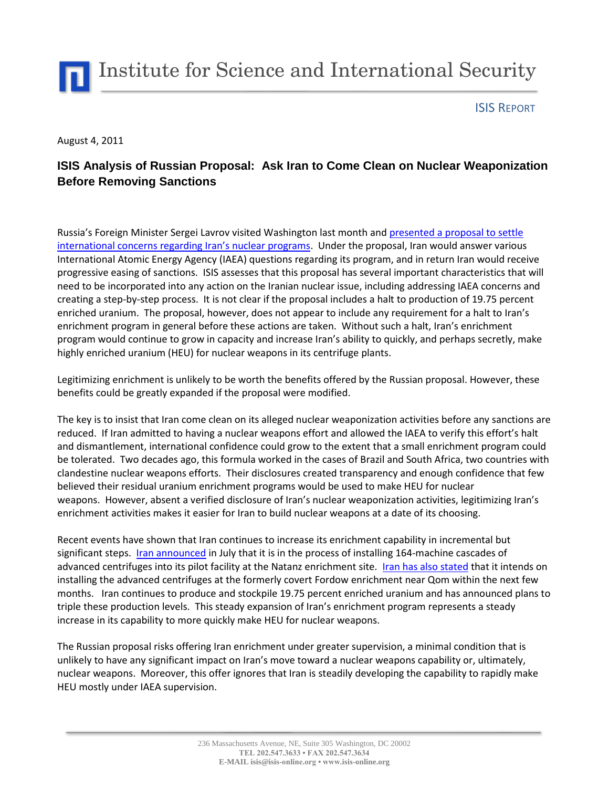

## ISIS REPORT

August 4, 2011

## **ISIS Analysis of Russian Proposal: Ask Iran to Come Clean on Nuclear Weaponization Before Removing Sanctions**

Russia's Foreign Minister Sergei Lavrov visited Washington last month and [presented a proposal to settle](http://gsn.nti.org/gsn/nw_20110714_9546.php)  international conce[rns regarding Iran's nuclear programs](http://gsn.nti.org/gsn/nw_20110714_9546.php). Under the proposal, Iran would answer various International Atomic Energy Agency (IAEA) questions regarding its program, and in return Iran would receive progressive easing of sanctions. ISIS assesses that this proposal has several important characteristics that will need to be incorporated into any action on the Iranian nuclear issue, including addressing IAEA concerns and creating a step-by-step process. It is not clear if the proposal includes a halt to production of 19.75 percent enriched uranium. The proposal, however, does not appear to include any requirement for a halt to Iran's enrichment program in general before these actions are taken. Without such a halt, Iran's enrichment program would continue to grow in capacity and increase Iran's ability to quickly, and perhaps secretly, make highly enriched uranium (HEU) for nuclear weapons in its centrifuge plants.

Legitimizing enrichment is unlikely to be worth the benefits offered by the Russian proposal. However, these benefits could be greatly expanded if the proposal were modified.

The key is to insist that Iran come clean on its alleged nuclear weaponization activities before any sanctions are reduced. If Iran admitted to having a nuclear weapons effort and allowed the IAEA to verify this effort's halt and dismantlement, international confidence could grow to the extent that a small enrichment program could be tolerated. Two decades ago, this formula worked in the cases of Brazil and South Africa, two countries with clandestine nuclear weapons efforts. Their disclosures created transparency and enough confidence that few believed their residual uranium enrichment programs would be used to make HEU for nuclear weapons. However, absent a verified disclosure of Iran's nuclear weaponization activities, legitimizing Iran's enrichment activities makes it easier for Iran to build nuclear weapons at a date of its choosing.

Recent events have shown that Iran continues to increase its enrichment capability in incremental but significant steps. [Iran announced](http://www.isisnucleariran.org/brief/detail/confirmation-of-advanced-centrifuge-installation/) in July that it is in the process of installing 164-machine cascades of advanced centrifuges into its pilot facility at the Natanz enrichment site. [Iran has also stated](http://www.isisnucleariran.org/brief/detail/moving-20-percent-enrichment-to-fordow-slow-motion-breakout-continues/) that it intends on installing the advanced centrifuges at the formerly covert Fordow enrichment near Qom within the next few months. Iran continues to produce and stockpile 19.75 percent enriched uranium and has announced plans to triple these production levels. This steady expansion of Iran's enrichment program represents a steady increase in its capability to more quickly make HEU for nuclear weapons.

The Russian proposal risks offering Iran enrichment under greater supervision, a minimal condition that is unlikely to have any significant impact on Iran's move toward a nuclear weapons capability or, ultimately, nuclear weapons. Moreover, this offer ignores that Iran is steadily developing the capability to rapidly make HEU mostly under IAEA supervision.